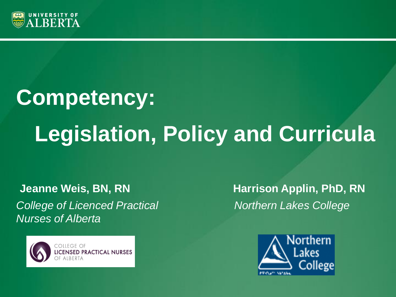

# **Competency: Legislation, Policy and Curricula**

**Jeanne Weis, BN, RN Harrison Applin, PhD, RN** *College of Licenced Practical Northern Lakes College Nurses of Alberta* 



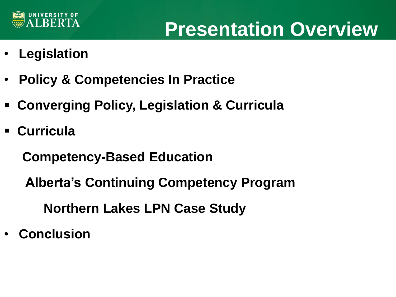

### **Presentation Overview**

- **Legislation**
- **Policy & Competencies In Practice**
- **Converging Policy, Legislation & Curricula**
- **Curricula**

 **Competency-Based Education**

 **Alberta's Continuing Competency Program**

**Northern Lakes LPN Case Study**

• **Conclusion**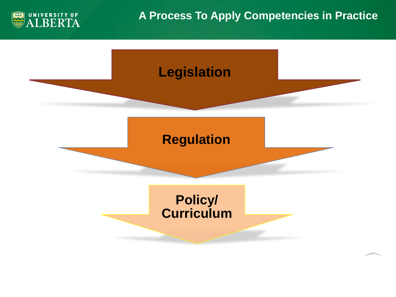

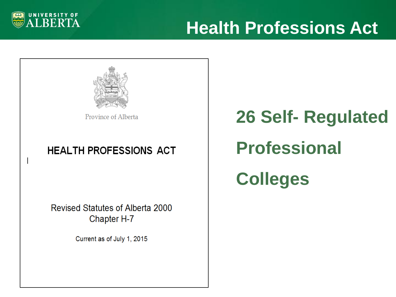

### **Health Professions Act**



Province of Alberta

#### **HEALTH PROFESSIONS ACT**

Revised Statutes of Alberta 2000 Chapter H-7

Current as of July 1, 2015

**26 Self- Regulated Professional Colleges**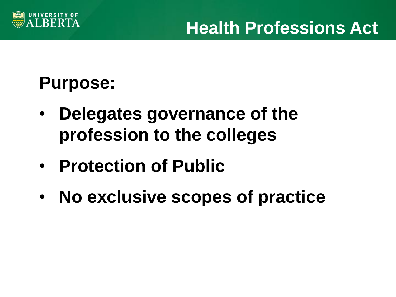

### **Purpose:**

- **Delegates governance of the profession to the colleges**
- **Protection of Public**
- **No exclusive scopes of practice**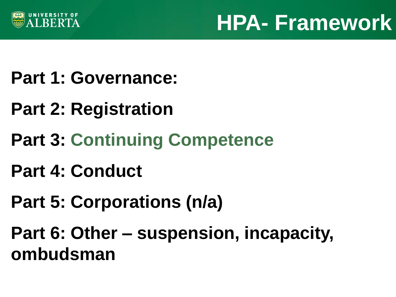

### **HPA- Framework**

- **Part 1: Governance:**
- **Part 2: Registration**
- **Part 3: Continuing Competence**
- **Part 4: Conduct**
- **Part 5: Corporations (n/a)**

**Part 6: Other – suspension, incapacity, ombudsman**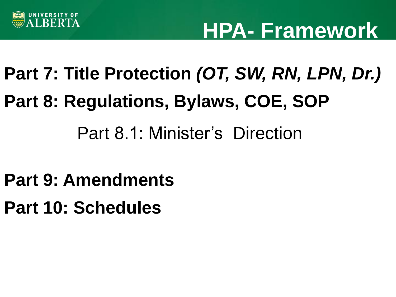

### **HPA- Framework**

# **Part 7: Title Protection** *(OT, SW, RN, LPN, Dr.)* **Part 8: Regulations, Bylaws, COE, SOP**

### Part 8.1: Minister's Direction

- **Part 9: Amendments**
- **Part 10: Schedules**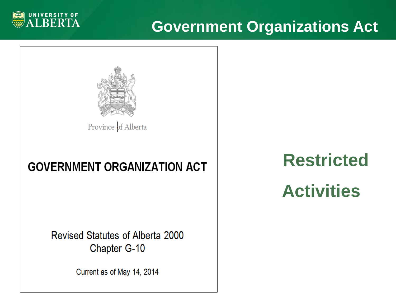

### **Government Organizations Act**



Province of Alberta

#### **GOVERNMENT ORGANIZATION ACT**

Revised Statutes of Alberta 2000 Chapter G-10

Current as of May 14, 2014

### **Restricted**

### **Activities**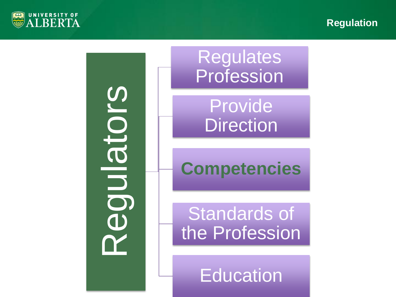



**Education**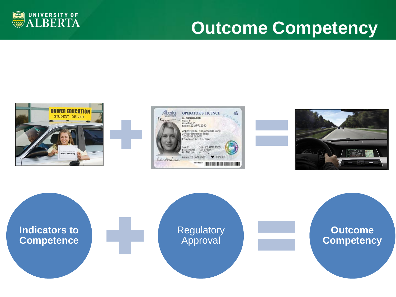

### **Outcome Competency**







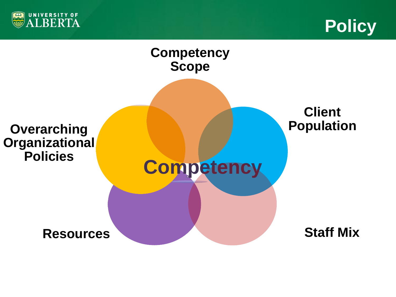



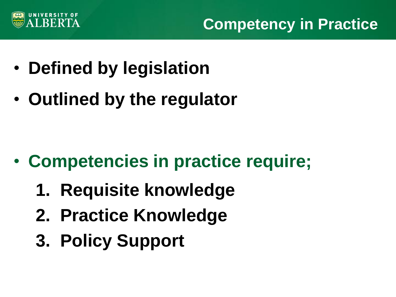

**Competency in Practice**

- **Defined by legislation**
- **Outlined by the regulator**

- **Competencies in practice require;**
	- **1. Requisite knowledge**
	- **2. Practice Knowledge**
	- **3. Policy Support**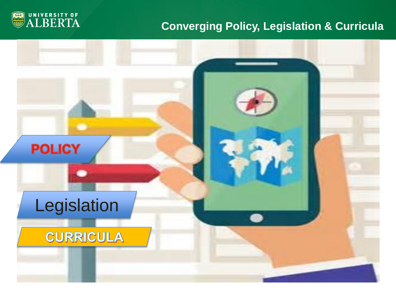

#### **Converging Policy, Legislation & Curricula**

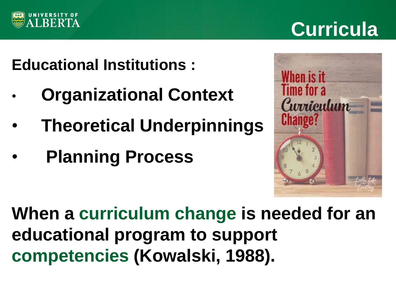

### **Curricula**

### **Educational Institutions :**

- • **Organizational Context**
- • **Theoretical Underpinnings**
- • **Planning Process**



**When a curriculum change is needed for an educational program to support competencies (Kowalski, 1988).**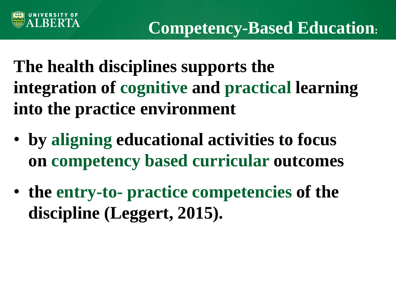

**The health disciplines supports the integration of cognitive and practical learning into the practice environment**

- **by aligning educational activities to focus on competency based curricular outcomes**
- **the entry-to- practice competencies of the discipline (Leggert, 2015).**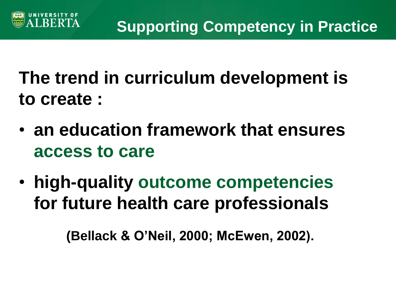

**The trend in curriculum development is to create :**

- **an education framework that ensures access to care**
- **high-quality outcome competencies for future health care professionals**

 **(Bellack & O'Neil, 2000; McEwen, 2002).**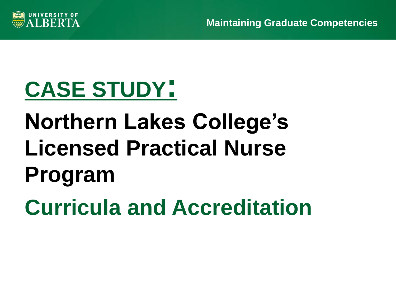

## **CASE STUDY:**

# **Northern Lakes College's Licensed Practical Nurse Program**

**Curricula and Accreditation**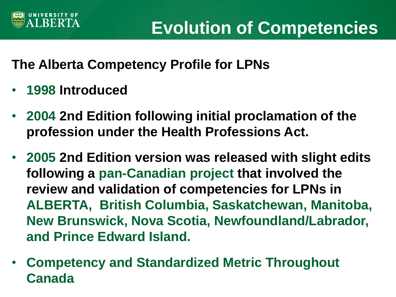

#### **The Alberta Competency Profile for LPNs**

- **1998 Introduced**
- **2004 2nd Edition following initial proclamation of the profession under the Health Professions Act.**
- **2005 2nd Edition version was released with slight edits following a pan-Canadian project that involved the review and validation of competencies for LPNs in ALBERTA, British Columbia, Saskatchewan, Manitoba, New Brunswick, Nova Scotia, Newfoundland/Labrador, and Prince Edward Island.**
- **Competency and Standardized Metric Throughout Canada**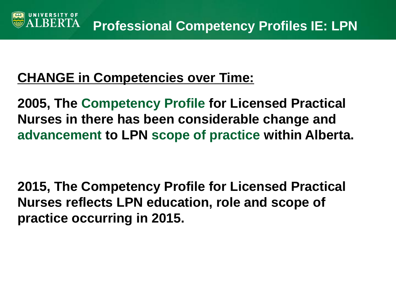#### **CHANGE in Competencies over Time:**

**2005, The Competency Profile for Licensed Practical Nurses in there has been considerable change and advancement to LPN scope of practice within Alberta.**

**2015, The Competency Profile for Licensed Practical Nurses reflects LPN education, role and scope of practice occurring in 2015.**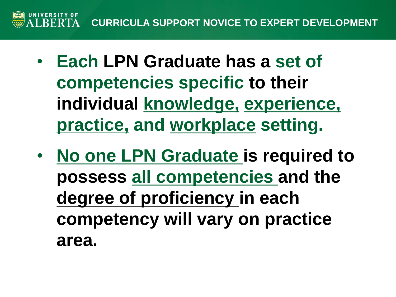

- **Each LPN Graduate has a set of competencies specific to their individual knowledge, experience, practice, and workplace setting.**
- **No one LPN Graduate is required to possess all competencies and the degree of proficiency in each competency will vary on practice area.**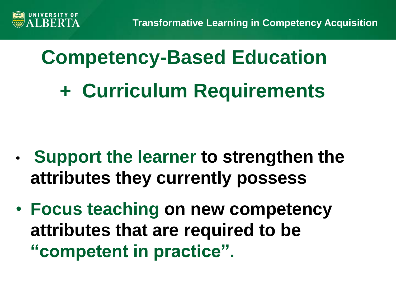

# **Competency-Based Education + Curriculum Requirements**

- **Support the learner to strengthen the attributes they currently possess**
- **Focus teaching on new competency attributes that are required to be "competent in practice".**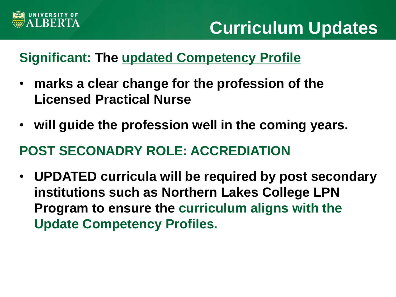

#### **Significant: The updated Competency Profile**

- **marks a clear change for the profession of the Licensed Practical Nurse**
- **will guide the profession well in the coming years.**

#### **POST SECONADRY ROLE: ACCREDIATION**

• **UPDATED curricula will be required by post secondary institutions such as Northern Lakes College LPN Program to ensure the curriculum aligns with the Update Competency Profiles.**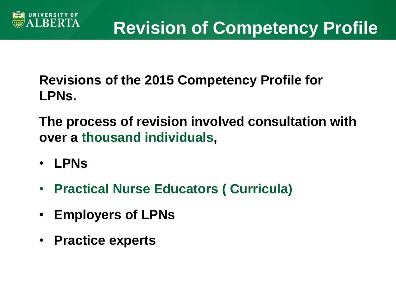

**Revisions of the 2015 Competency Profile for LPNs.** 

**The process of revision involved consultation with over a thousand individuals,**

- **LPNs**
- **Practical Nurse Educators ( Curricula)**
- **Employers of LPNs**
- **Practice experts**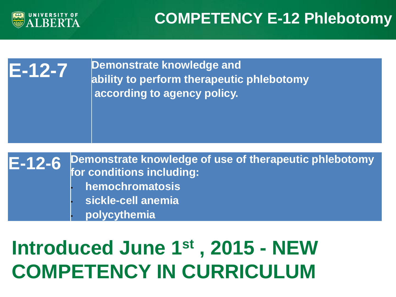

**E-12-7 Demonstrate knowledge and ability to perform therapeutic phlebotomy according to agency policy.** 

**E-12-6 Demonstrate knowledge of use of therapeutic phlebotomy for conditions including:**  • **hemochromatosis**  • **sickle-cell anemia**  • **polycythemia** 

### **Introduced June 1st , 2015 - NEW COMPETENCY IN CURRICULUM**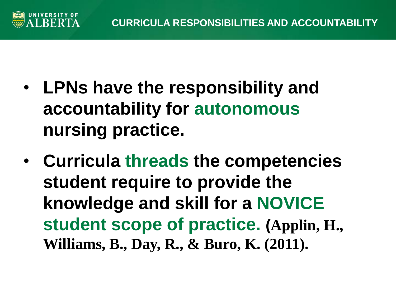

- **LPNs have the responsibility and accountability for autonomous nursing practice.**
- **Curricula threads the competencies student require to provide the knowledge and skill for a NOVICE student scope of practice. (Applin, H., Williams, B., Day, R., & Buro, K. (2011).**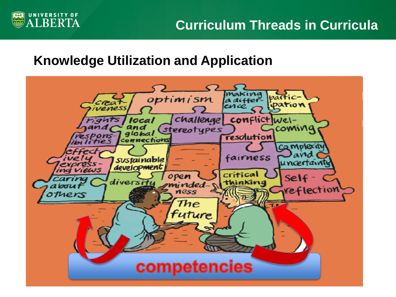

#### **Knowledge Utilization and Application**

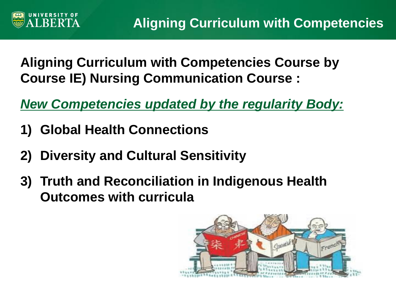

#### **Aligning Curriculum with Competencies Course by Course IE) Nursing Communication Course :**

*New Competencies updated by the regularity Body:*

- **1) Global Health Connections**
- **2) Diversity and Cultural Sensitivity**
- **3) Truth and Reconciliation in Indigenous Health Outcomes with curricula**

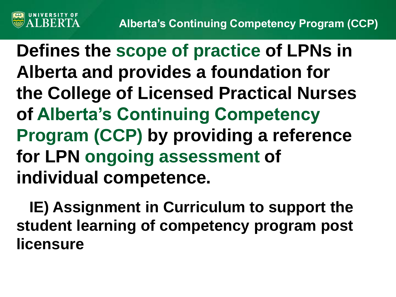

**Defines the scope of practice of LPNs in Alberta and provides a foundation for the College of Licensed Practical Nurses of Alberta's Continuing Competency Program (CCP) by providing a reference for LPN ongoing assessment of individual competence.**

 **IE) Assignment in Curriculum to support the student learning of competency program post licensure**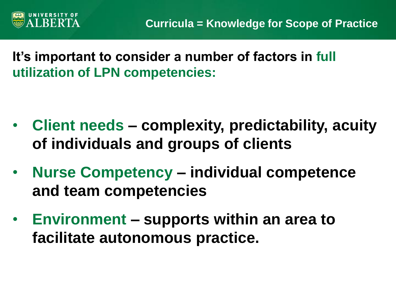

**It's important to consider a number of factors in full utilization of LPN competencies:**

- **Client needs – complexity, predictability, acuity of individuals and groups of clients**
- **Nurse Competency – individual competence and team competencies**
- **Environment – supports within an area to facilitate autonomous practice.**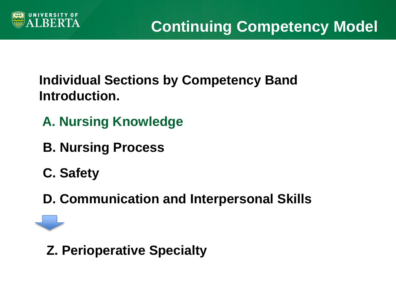

#### **Individual Sections by Competency Band Introduction.**

- **A. Nursing Knowledge**
- **B. Nursing Process**
- **C. Safety**
- **D. Communication and Interpersonal Skills**

 **Z. Perioperative Specialty**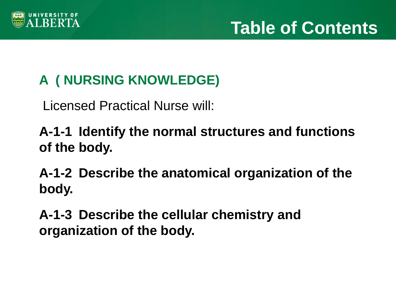

### **A ( NURSING KNOWLEDGE)**

Licensed Practical Nurse will:

**A-1-1 Identify the normal structures and functions of the body.**

**A-1-2 Describe the anatomical organization of the body.**

**A-1-3 Describe the cellular chemistry and organization of the body.**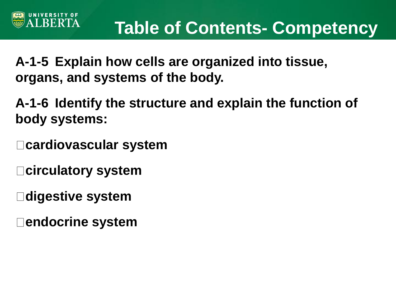**A-1-5 Explain how cells are organized into tissue, organs, and systems of the body.**

**A-1-6 Identify the structure and explain the function of body systems:**

**cardiovascular system**

**circulatory system**

**RERTA** 

**digestive system**

**endocrine system**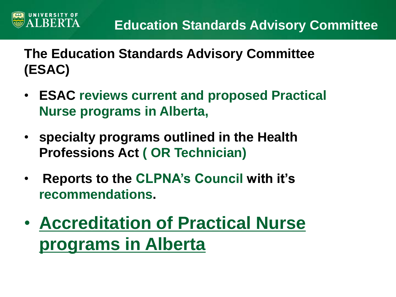**The Education Standards Advisory Committee (ESAC)** 

**LBERTA** 

- **ESAC reviews current and proposed Practical Nurse programs in Alberta,**
- **specialty programs outlined in the Health Professions Act ( OR Technician)**
- **Reports to the CLPNA's Council with it's recommendations.**
- **Accreditation of Practical Nurse programs in Alberta**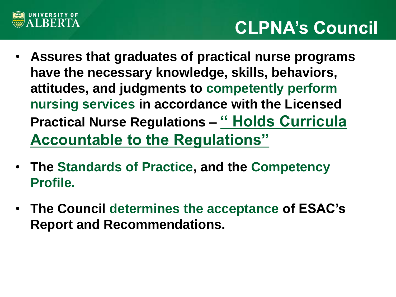

### **CLPNA's Council**

- **Assures that graduates of practical nurse programs have the necessary knowledge, skills, behaviors, attitudes, and judgments to competently perform nursing services in accordance with the Licensed Practical Nurse Regulations – " Holds Curricula Accountable to the Regulations"**
- **The Standards of Practice, and the Competency Profile.**
- **The Council determines the acceptance of ESAC's Report and Recommendations.**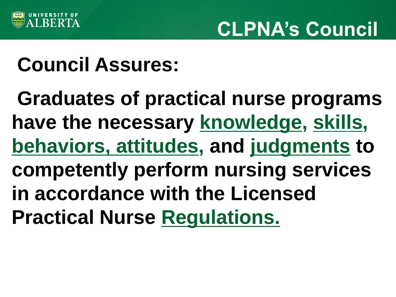

### **CLPNA's Council**

### **Council Assures:**

**Graduates of practical nurse programs have the necessary knowledge, skills, behaviors, attitudes, and judgments to competently perform nursing services in accordance with the Licensed Practical Nurse Regulations.**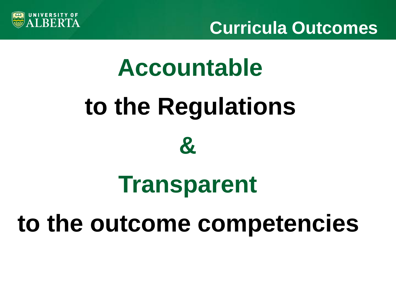

# **Accountable to the Regulations &**

# **Transparent**

# **to the outcome competencies**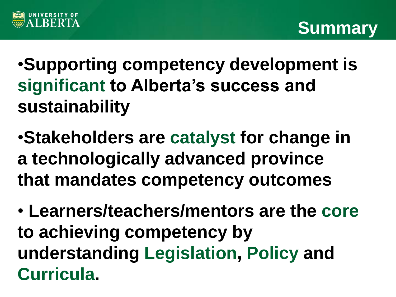



•**Supporting competency development is significant to Alberta's success and sustainability**

•**Stakeholders are catalyst for change in a technologically advanced province that mandates competency outcomes**

• **Learners/teachers/mentors are the core to achieving competency by understanding Legislation, Policy and Curricula.**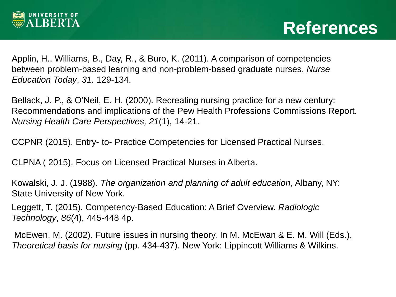

Applin, H., Williams, B., Day, R., & Buro, K. (2011). A comparison of competencies between problem-based learning and non-problem-based graduate nurses. *Nurse Education Today*, *31.* 129-134.

Bellack, J. P., & O'Neil, E. H. (2000). Recreating nursing practice for a new century: Recommendations and implications of the Pew Health Professions Commissions Report. *Nursing Health Care Perspectives, 21*(1), 14-21.

CCPNR (2015). Entry- to- Practice Competencies for Licensed Practical Nurses.

CLPNA ( 2015). Focus on Licensed Practical Nurses in Alberta.

Kowalski, J. J. (1988). *The organization and planning of adult education*, Albany, NY: State University of New York.

Leggett, T. (2015). Competency-Based Education: A Brief Overview. *Radiologic Technology*, *86*(4), 445-448 4p.

McEwen, M. (2002). Future issues in nursing theory. In M. McEwan & E. M. Will (Eds.), *Theoretical basis for nursing* (pp. 434-437). New York: Lippincott Williams & Wilkins.